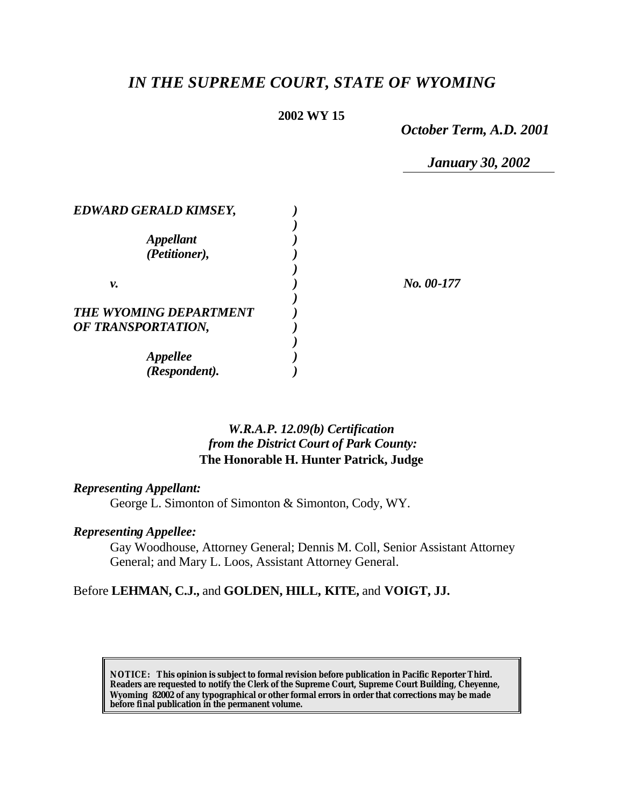# *IN THE SUPREME COURT, STATE OF WYOMING*

### **2002 WY 15**

*October Term, A.D. 2001*

*January 30, 2002*

| <b>EDWARD GERALD KIMSEY,</b> |            |
|------------------------------|------------|
|                              |            |
| <i><b>Appellant</b></i>      |            |
| (Petitioner),                |            |
|                              |            |
| ν.                           | No. 00-177 |
|                              |            |
| THE WYOMING DEPARTMENT       |            |
| OF TRANSPORTATION,           |            |
|                              |            |
| <i><b>Appellee</b></i>       |            |
| (Respondent).                |            |

### *W.R.A.P. 12.09(b) Certification from the District Court of Park County:* **The Honorable H. Hunter Patrick, Judge**

#### *Representing Appellant:*

George L. Simonton of Simonton & Simonton, Cody, WY.

## *Representing Appellee:*

Gay Woodhouse, Attorney General; Dennis M. Coll, Senior Assistant Attorney General; and Mary L. Loos, Assistant Attorney General.

### Before **LEHMAN, C.J.,** and **GOLDEN, HILL, KITE,** and **VOIGT, JJ.**

**NOTICE:** *This opinion is subject to formal revision before publication in Pacific Reporter Third. Readers are requested to notify the Clerk of the Supreme Court, Supreme Court Building, Cheyenne, Wyoming 82002 of any typographical or other formal errors in order that corrections may be made before final publication in the permanent volume.*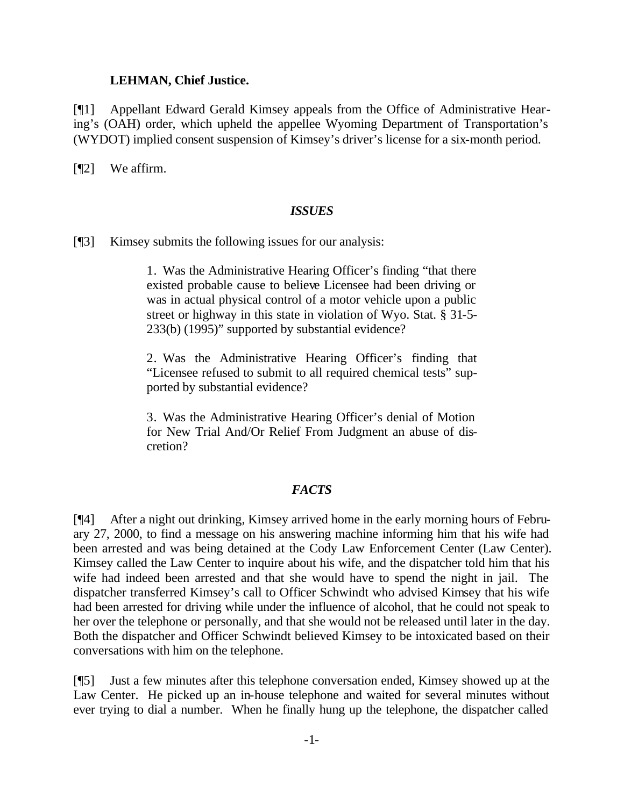#### **LEHMAN, Chief Justice.**

[¶1] Appellant Edward Gerald Kimsey appeals from the Office of Administrative Hearing's (OAH) order, which upheld the appellee Wyoming Department of Transportation's (WYDOT) implied consent suspension of Kimsey's driver's license for a six-month period.

[¶2] We affirm.

#### *ISSUES*

[¶3] Kimsey submits the following issues for our analysis:

1. Was the Administrative Hearing Officer's finding "that there existed probable cause to believe Licensee had been driving or was in actual physical control of a motor vehicle upon a public street or highway in this state in violation of Wyo. Stat. § 31-5- 233(b) (1995)" supported by substantial evidence?

2. Was the Administrative Hearing Officer's finding that "Licensee refused to submit to all required chemical tests" supported by substantial evidence?

3. Was the Administrative Hearing Officer's denial of Motion for New Trial And/Or Relief From Judgment an abuse of discretion?

#### *FACTS*

[¶4] After a night out drinking, Kimsey arrived home in the early morning hours of February 27, 2000, to find a message on his answering machine informing him that his wife had been arrested and was being detained at the Cody Law Enforcement Center (Law Center). Kimsey called the Law Center to inquire about his wife, and the dispatcher told him that his wife had indeed been arrested and that she would have to spend the night in jail. The dispatcher transferred Kimsey's call to Officer Schwindt who advised Kimsey that his wife had been arrested for driving while under the influence of alcohol, that he could not speak to her over the telephone or personally, and that she would not be released until later in the day. Both the dispatcher and Officer Schwindt believed Kimsey to be intoxicated based on their conversations with him on the telephone.

[¶5] Just a few minutes after this telephone conversation ended, Kimsey showed up at the Law Center. He picked up an in-house telephone and waited for several minutes without ever trying to dial a number. When he finally hung up the telephone, the dispatcher called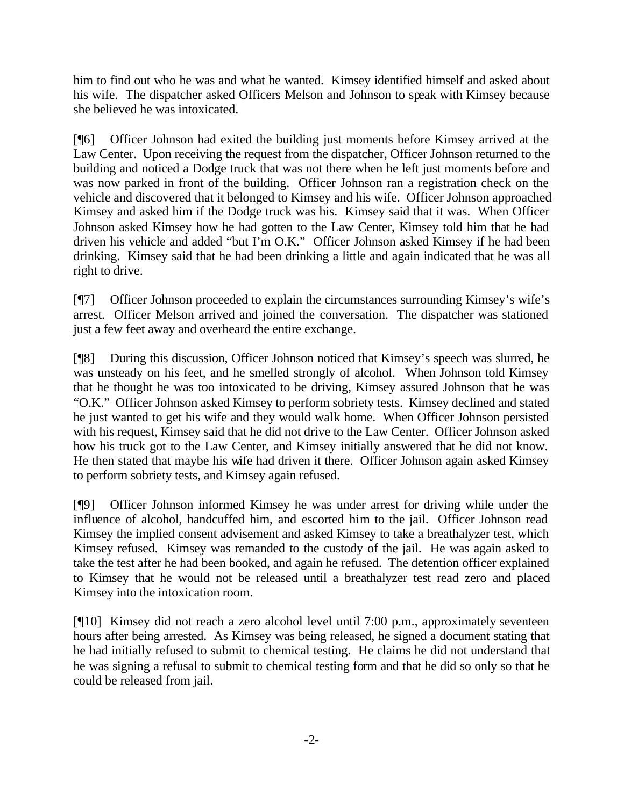him to find out who he was and what he wanted. Kimsey identified himself and asked about his wife. The dispatcher asked Officers Melson and Johnson to speak with Kimsey because she believed he was intoxicated.

[¶6] Officer Johnson had exited the building just moments before Kimsey arrived at the Law Center. Upon receiving the request from the dispatcher, Officer Johnson returned to the building and noticed a Dodge truck that was not there when he left just moments before and was now parked in front of the building. Officer Johnson ran a registration check on the vehicle and discovered that it belonged to Kimsey and his wife. Officer Johnson approached Kimsey and asked him if the Dodge truck was his. Kimsey said that it was. When Officer Johnson asked Kimsey how he had gotten to the Law Center, Kimsey told him that he had driven his vehicle and added "but I'm O.K." Officer Johnson asked Kimsey if he had been drinking. Kimsey said that he had been drinking a little and again indicated that he was all right to drive.

[¶7] Officer Johnson proceeded to explain the circumstances surrounding Kimsey's wife's arrest. Officer Melson arrived and joined the conversation. The dispatcher was stationed just a few feet away and overheard the entire exchange.

[¶8] During this discussion, Officer Johnson noticed that Kimsey's speech was slurred, he was unsteady on his feet, and he smelled strongly of alcohol. When Johnson told Kimsey that he thought he was too intoxicated to be driving, Kimsey assured Johnson that he was "O.K." Officer Johnson asked Kimsey to perform sobriety tests. Kimsey declined and stated he just wanted to get his wife and they would walk home. When Officer Johnson persisted with his request, Kimsey said that he did not drive to the Law Center. Officer Johnson asked how his truck got to the Law Center, and Kimsey initially answered that he did not know. He then stated that maybe his wife had driven it there. Officer Johnson again asked Kimsey to perform sobriety tests, and Kimsey again refused.

[¶9] Officer Johnson informed Kimsey he was under arrest for driving while under the influence of alcohol, handcuffed him, and escorted him to the jail. Officer Johnson read Kimsey the implied consent advisement and asked Kimsey to take a breathalyzer test, which Kimsey refused. Kimsey was remanded to the custody of the jail. He was again asked to take the test after he had been booked, and again he refused. The detention officer explained to Kimsey that he would not be released until a breathalyzer test read zero and placed Kimsey into the intoxication room.

[¶10] Kimsey did not reach a zero alcohol level until 7:00 p.m., approximately seventeen hours after being arrested. As Kimsey was being released, he signed a document stating that he had initially refused to submit to chemical testing. He claims he did not understand that he was signing a refusal to submit to chemical testing form and that he did so only so that he could be released from jail.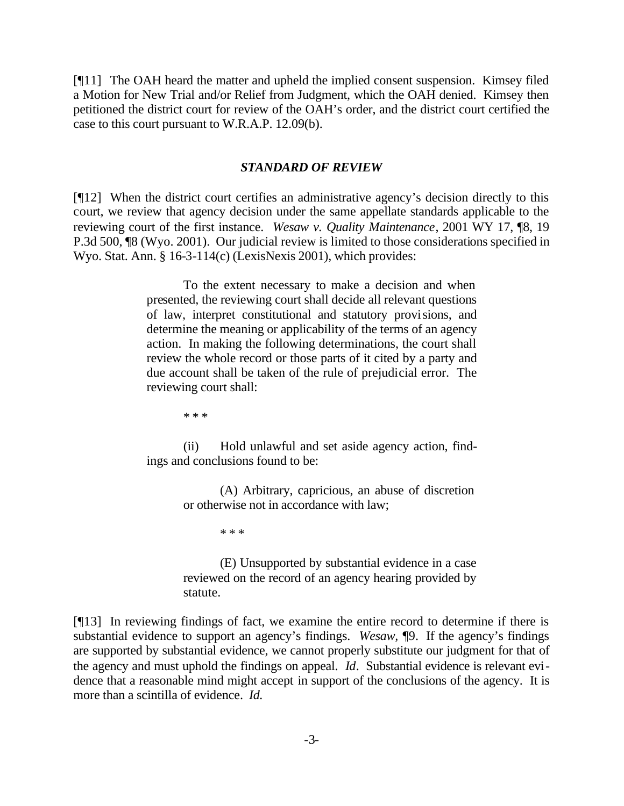[¶11] The OAH heard the matter and upheld the implied consent suspension. Kimsey filed a Motion for New Trial and/or Relief from Judgment, which the OAH denied. Kimsey then petitioned the district court for review of the OAH's order, and the district court certified the case to this court pursuant to W.R.A.P. 12.09(b).

#### *STANDARD OF REVIEW*

[¶12] When the district court certifies an administrative agency's decision directly to this court, we review that agency decision under the same appellate standards applicable to the reviewing court of the first instance. *Wesaw v. Quality Maintenance*, 2001 WY 17, ¶8, 19 P.3d 500, ¶8 (Wyo. 2001). Our judicial review is limited to those considerations specified in Wyo. Stat. Ann. § 16-3-114(c) (LexisNexis 2001), which provides:

> To the extent necessary to make a decision and when presented, the reviewing court shall decide all relevant questions of law, interpret constitutional and statutory provisions, and determine the meaning or applicability of the terms of an agency action. In making the following determinations, the court shall review the whole record or those parts of it cited by a party and due account shall be taken of the rule of prejudicial error. The reviewing court shall:

> > \* \* \*

(ii) Hold unlawful and set aside agency action, findings and conclusions found to be:

> (A) Arbitrary, capricious, an abuse of discretion or otherwise not in accordance with law;

> > \* \* \*

(E) Unsupported by substantial evidence in a case reviewed on the record of an agency hearing provided by statute.

[¶13] In reviewing findings of fact, we examine the entire record to determine if there is substantial evidence to support an agency's findings. *Wesaw,* ¶9. If the agency's findings are supported by substantial evidence, we cannot properly substitute our judgment for that of the agency and must uphold the findings on appeal. *Id*. Substantial evidence is relevant evidence that a reasonable mind might accept in support of the conclusions of the agency. It is more than a scintilla of evidence. *Id.*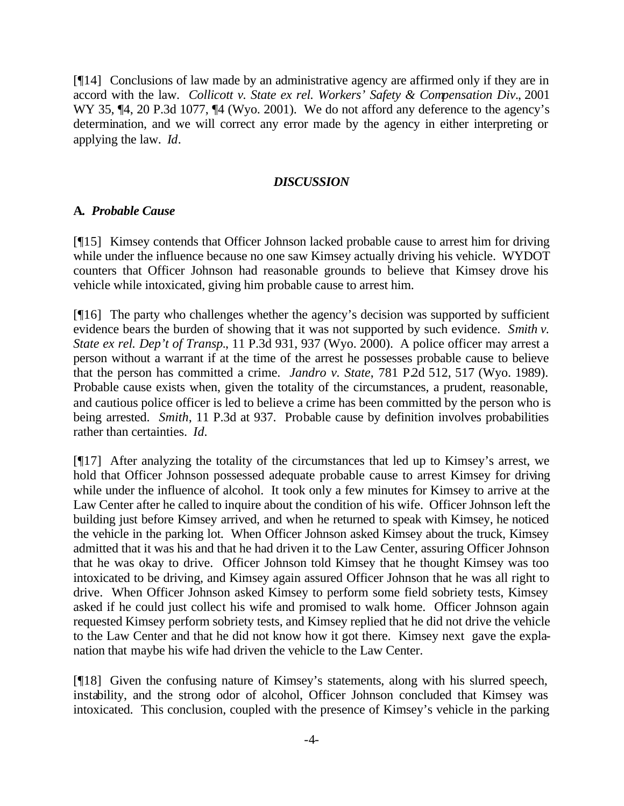[¶14] Conclusions of law made by an administrative agency are affirmed only if they are in accord with the law. *Collicott v. State ex rel. Workers' Safety & Compensation Div.*, 2001 WY 35,  $\P 4$ , 20 P.3d 1077,  $\P 4$  (Wyo. 2001). We do not afford any deference to the agency's determination, and we will correct any error made by the agency in either interpreting or applying the law. *Id*.

#### *DISCUSSION*

#### **A.** *Probable Cause*

[¶15] Kimsey contends that Officer Johnson lacked probable cause to arrest him for driving while under the influence because no one saw Kimsey actually driving his vehicle. WYDOT counters that Officer Johnson had reasonable grounds to believe that Kimsey drove his vehicle while intoxicated, giving him probable cause to arrest him.

[¶16] The party who challenges whether the agency's decision was supported by sufficient evidence bears the burden of showing that it was not supported by such evidence. *Smith v. State ex rel. Dep't of Transp.*, 11 P.3d 931, 937 (Wyo. 2000). A police officer may arrest a person without a warrant if at the time of the arrest he possesses probable cause to believe that the person has committed a crime. *Jandro v. State*, 781 P.2d 512, 517 (Wyo. 1989). Probable cause exists when, given the totality of the circumstances, a prudent, reasonable, and cautious police officer is led to believe a crime has been committed by the person who is being arrested. *Smith*, 11 P.3d at 937. Probable cause by definition involves probabilities rather than certainties. *Id.*

[¶17] After analyzing the totality of the circumstances that led up to Kimsey's arrest, we hold that Officer Johnson possessed adequate probable cause to arrest Kimsey for driving while under the influence of alcohol. It took only a few minutes for Kimsey to arrive at the Law Center after he called to inquire about the condition of his wife. Officer Johnson left the building just before Kimsey arrived, and when he returned to speak with Kimsey, he noticed the vehicle in the parking lot. When Officer Johnson asked Kimsey about the truck, Kimsey admitted that it was his and that he had driven it to the Law Center, assuring Officer Johnson that he was okay to drive. Officer Johnson told Kimsey that he thought Kimsey was too intoxicated to be driving, and Kimsey again assured Officer Johnson that he was all right to drive. When Officer Johnson asked Kimsey to perform some field sobriety tests, Kimsey asked if he could just collect his wife and promised to walk home. Officer Johnson again requested Kimsey perform sobriety tests, and Kimsey replied that he did not drive the vehicle to the Law Center and that he did not know how it got there. Kimsey next gave the explanation that maybe his wife had driven the vehicle to the Law Center.

[¶18] Given the confusing nature of Kimsey's statements, along with his slurred speech, instability, and the strong odor of alcohol, Officer Johnson concluded that Kimsey was intoxicated. This conclusion, coupled with the presence of Kimsey's vehicle in the parking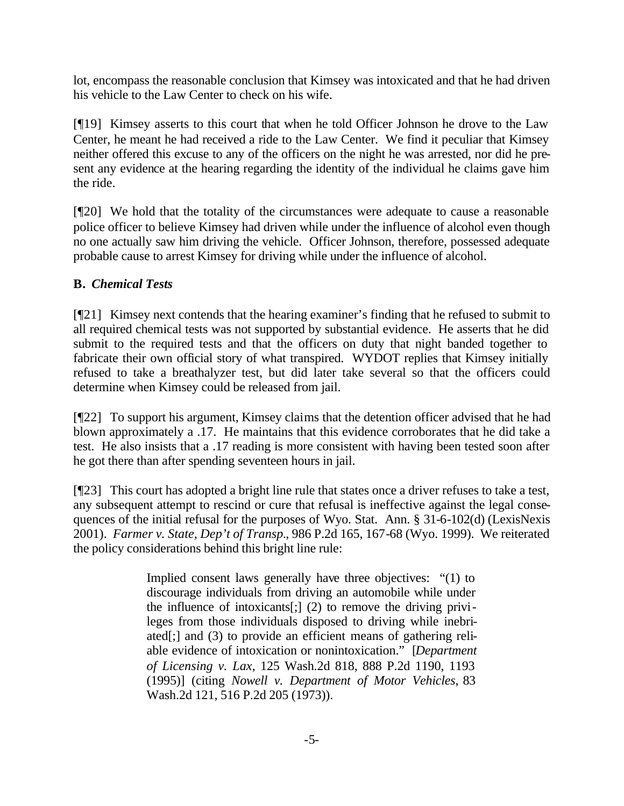lot, encompass the reasonable conclusion that Kimsey was intoxicated and that he had driven his vehicle to the Law Center to check on his wife.

[¶19] Kimsey asserts to this court that when he told Officer Johnson he drove to the Law Center, he meant he had received a ride to the Law Center. We find it peculiar that Kimsey neither offered this excuse to any of the officers on the night he was arrested, nor did he present any evidence at the hearing regarding the identity of the individual he claims gave him the ride.

[¶20] We hold that the totality of the circumstances were adequate to cause a reasonable police officer to believe Kimsey had driven while under the influence of alcohol even though no one actually saw him driving the vehicle. Officer Johnson, therefore, possessed adequate probable cause to arrest Kimsey for driving while under the influence of alcohol.

# **B.** *Chemical Tests*

[¶21] Kimsey next contends that the hearing examiner's finding that he refused to submit to all required chemical tests was not supported by substantial evidence. He asserts that he did submit to the required tests and that the officers on duty that night banded together to fabricate their own official story of what transpired. WYDOT replies that Kimsey initially refused to take a breathalyzer test, but did later take several so that the officers could determine when Kimsey could be released from jail.

[¶22] To support his argument, Kimsey claims that the detention officer advised that he had blown approximately a .17. He maintains that this evidence corroborates that he did take a test. He also insists that a .17 reading is more consistent with having been tested soon after he got there than after spending seventeen hours in jail.

[¶23] This court has adopted a bright line rule that states once a driver refuses to take a test, any subsequent attempt to rescind or cure that refusal is ineffective against the legal consequences of the initial refusal for the purposes of Wyo. Stat. Ann. § 31-6-102(d) (LexisNexis 2001). *Farmer v. State, Dep't of Transp.*, 986 P.2d 165, 167-68 (Wyo. 1999). We reiterated the policy considerations behind this bright line rule:

> Implied consent laws generally have three objectives: "(1) to discourage individuals from driving an automobile while under the influence of intoxicants[;] (2) to remove the driving privileges from those individuals disposed to driving while inebriated[;] and (3) to provide an efficient means of gathering reliable evidence of intoxication or nonintoxication." [*Department of Licensing v. Lax*, 125 Wash.2d 818, 888 P.2d 1190, 1193 (1995)] (citing *Nowell v. Department of Motor Vehicles*, 83 Wash.2d 121, 516 P.2d 205 (1973)).